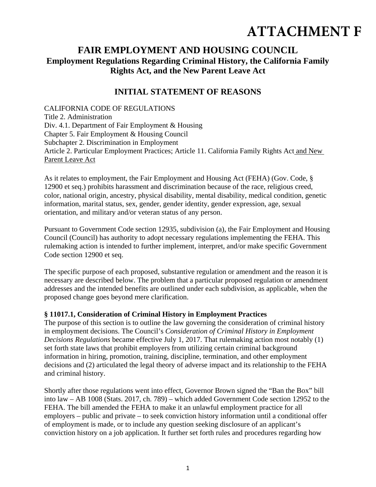# **ATTACHMENT F**

## **FAIR EMPLOYMENT AND HOUSING COUNCIL Employment Regulations Regarding Criminal History, the California Family Rights Act, and the New Parent Leave Act**

## **INITIAL STATEMENT OF REASONS**

CALIFORNIA CODE OF REGULATIONS Title 2. Administration Div. 4.1. Department of Fair Employment & Housing Chapter 5. Fair Employment & Housing Council Subchapter 2. Discrimination in Employment Article 2. Particular Employment Practices; Article 11. California Family Rights Act and New Parent Leave Act

As it relates to employment, the Fair Employment and Housing Act (FEHA) (Gov. Code, § 12900 et seq.) prohibits harassment and discrimination because of the race, religious creed, color, national origin, ancestry, physical disability, mental disability, medical condition, genetic information, marital status, sex, gender, gender identity, gender expression, age, sexual orientation, and military and/or veteran status of any person.

Pursuant to Government Code section 12935, subdivision (a), the Fair Employment and Housing Council (Council) has authority to adopt necessary regulations implementing the FEHA. This rulemaking action is intended to further implement, interpret, and/or make specific Government Code section 12900 et seq.

The specific purpose of each proposed, substantive regulation or amendment and the reason it is necessary are described below. The problem that a particular proposed regulation or amendment addresses and the intended benefits are outlined under each subdivision, as applicable, when the proposed change goes beyond mere clarification.

#### **§ 11017.1, Consideration of Criminal History in Employment Practices**

The purpose of this section is to outline the law governing the consideration of criminal history in employment decisions. The Council's *Consideration of Criminal History in Employment Decisions Regulations* became effective July 1, 2017. That rulemaking action most notably (1) set forth state laws that prohibit employers from utilizing certain criminal background information in hiring, promotion, training, discipline, termination, and other employment decisions and (2) articulated the legal theory of adverse impact and its relationship to the FEHA and criminal history.

Shortly after those regulations went into effect, Governor Brown signed the "Ban the Box" bill into law – AB 1008 (Stats. 2017, ch. 789) – which added Government Code section 12952 to the FEHA. The bill amended the FEHA to make it an unlawful employment practice for all employers – public and private – to seek conviction history information until a conditional offer of employment is made, or to include any question seeking disclosure of an applicant's conviction history on a job application. It further set forth rules and procedures regarding how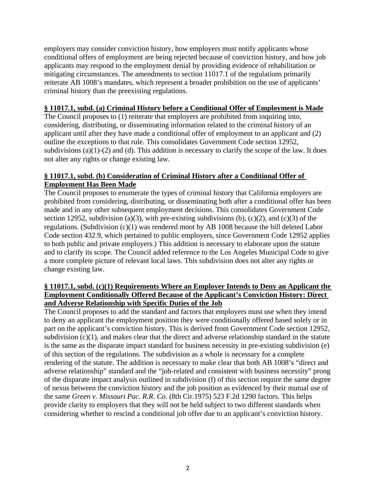employers may consider conviction history, how employers must notify applicants whose conditional offers of employment are being rejected because of conviction history, and how job applicants may respond to the employment denial by providing evidence of rehabilitation or mitigating circumstances. The amendments to section 11017.1 of the regulations primarily reiterate AB 1008's mandates, which represent a broader prohibition on the use of applicants' criminal history than the preexisting regulations.

#### **§ 11017.1, subd. (a) Criminal History before a Conditional Offer of Employment is Made**

The Council proposes to (1) reiterate that employers are prohibited from inquiring into, considering, distributing, or disseminating information related to the criminal history of an applicant until after they have made a conditional offer of employment to an applicant and (2) outline the exceptions to that rule. This consolidates Government Code section 12952, subdivisions (a)(1)-(2) and (d). This addition is necessary to clarify the scope of the law. It does not alter any rights or change existing law.

#### **§ 11017.1, subd. (b) Consideration of Criminal History after a Conditional Offer of Employment Has Been Made**

The Council proposes to enumerate the types of criminal history that California employers are prohibited from considering, distributing, or disseminating both after a conditional offer has been made and in any other subsequent employment decisions. This consolidates Government Code section 12952, subdivision (a)(3), with pre-existing subdivisions (b),  $(c)(2)$ , and  $(c)(3)$  of the regulations. (Subdivision (c)(1) was rendered moot by AB 1008 because the bill deleted Labor Code section 432.9, which pertained to public employers, since Government Code 12952 applies to both public and private employers.) This addition is necessary to elaborate upon the statute and to clarify its scope. The Council added reference to the Los Angeles Municipal Code to give a more complete picture of relevant local laws. This subdivision does not alter any rights or change existing law.

#### **§ 11017.1, subd. (c)(1) Requirements Where an Employer Intends to Deny an Applicant the Employment Conditionally Offered Because of the Applicant's Conviction History: Direct and Adverse Relationship with Specific Duties of the Job**

The Council proposes to add the standard and factors that employers must use when they intend to deny an applicant the employment position they were conditionally offered based solely or in part on the applicant's conviction history. This is derived from Government Code section 12952, subdivision  $(c)(1)$ , and makes clear that the direct and adverse relationship standard in the statute is the same as the disparate impact standard for business necessity in pre-existing subdivision (e) of this section of the regulations. The subdivision as a whole is necessary for a complete rendering of the statute. The addition is necessary to make clear that both AB 1008's "direct and adverse relationship" standard and the "job-related and consistent with business necessity" prong of the disparate impact analysis outlined in subdivision (f) of this section require the same degree of nexus between the conviction history and the job position as evidenced by their mutual use of the same *Green v. Missouri Pac. R.R. Co.* (8th Cir.1975) 523 F.2d 1290 factors. This helps provide clarity to employers that they will not be held subject to two different standards when considering whether to rescind a conditional job offer due to an applicant's conviction history.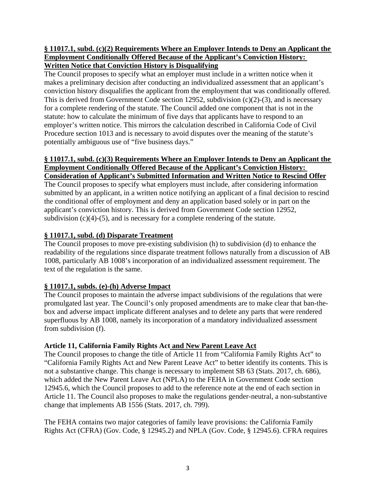#### **§ 11017.1, subd. (c)(2) Requirements Where an Employer Intends to Deny an Applicant the Employment Conditionally Offered Because of the Applicant's Conviction History: Written Notice that Conviction History is Disqualifying**

The Council proposes to specify what an employer must include in a written notice when it makes a preliminary decision after conducting an individualized assessment that an applicant's conviction history disqualifies the applicant from the employment that was conditionally offered. This is derived from Government Code section 12952, subdivision (c)(2)-(3), and is necessary for a complete rendering of the statute. The Council added one component that is not in the statute: how to calculate the minimum of five days that applicants have to respond to an employer's written notice. This mirrors the calculation described in California Code of Civil Procedure section 1013 and is necessary to avoid disputes over the meaning of the statute's potentially ambiguous use of "five business days."

#### **§ 11017.1, subd. (c)(3) Requirements Where an Employer Intends to Deny an Applicant the Employment Conditionally Offered Because of the Applicant's Conviction History: Consideration of Applicant's Submitted Information and Written Notice to Rescind Offer**

The Council proposes to specify what employers must include, after considering information submitted by an applicant, in a written notice notifying an applicant of a final decision to rescind the conditional offer of employment and deny an application based solely or in part on the applicant's conviction history. This is derived from Government Code section 12952, subdivision  $(c)(4)-(5)$ , and is necessary for a complete rendering of the statute.

## **§ 11017.1, subd. (d) Disparate Treatment**

The Council proposes to move pre-existing subdivision (h) to subdivision (d) to enhance the readability of the regulations since disparate treatment follows naturally from a discussion of AB 1008, particularly AB 1008's incorporation of an individualized assessment requirement. The text of the regulation is the same.

## **§ 11017.1, subds. (e)-(h) Adverse Impact**

The Council proposes to maintain the adverse impact subdivisions of the regulations that were promulgated last year. The Council's only proposed amendments are to make clear that ban-thebox and adverse impact implicate different analyses and to delete any parts that were rendered superfluous by AB 1008, namely its incorporation of a mandatory individualized assessment from subdivision (f).

## **Article 11, California Family Rights Act and New Parent Leave Act**

The Council proposes to change the title of Article 11 from "California Family Rights Act" to "California Family Rights Act and New Parent Leave Act" to better identify its contents. This is not a substantive change. This change is necessary to implement SB 63 (Stats. 2017, ch. 686), which added the New Parent Leave Act (NPLA) to the FEHA in Government Code section 12945.6, which the Council proposes to add to the reference note at the end of each section in Article 11. The Council also proposes to make the regulations gender-neutral, a non-substantive change that implements AB 1556 (Stats. 2017, ch. 799).

The FEHA contains two major categories of family leave provisions: the California Family Rights Act (CFRA) (Gov. Code, § 12945.2) and NPLA (Gov. Code, § 12945.6). CFRA requires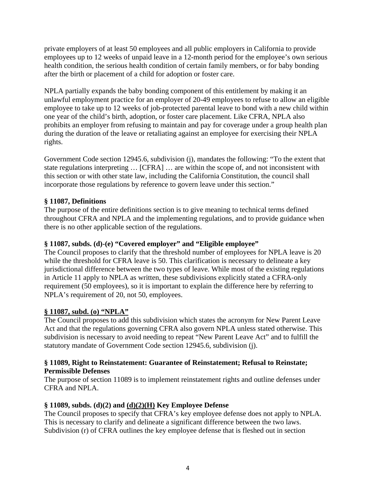private employers of at least 50 employees and all public employers in California to provide employees up to 12 weeks of unpaid leave in a 12-month period for the employee's own serious health condition, the serious health condition of certain family members, or for baby bonding after the birth or placement of a child for adoption or foster care.

NPLA partially expands the baby bonding component of this entitlement by making it an unlawful employment practice for an employer of 20-49 employees to refuse to allow an eligible employee to take up to 12 weeks of job-protected parental leave to bond with a new child within one year of the child's birth, adoption, or foster care placement. Like CFRA, NPLA also prohibits an employer from refusing to maintain and pay for coverage under a group health plan during the duration of the leave or retaliating against an employee for exercising their NPLA rights.

Government Code section 12945.6, subdivision (j), mandates the following: "To the extent that state regulations interpreting … [CFRA] … are within the scope of, and not inconsistent with this section or with other state law, including the California Constitution, the council shall incorporate those regulations by reference to govern leave under this section."

## **§ 11087, Definitions**

The purpose of the entire definitions section is to give meaning to technical terms defined throughout CFRA and NPLA and the implementing regulations, and to provide guidance when there is no other applicable section of the regulations.

#### **§ 11087, subds. (d)-(e) "Covered employer" and "Eligible employee"**

The Council proposes to clarify that the threshold number of employees for NPLA leave is 20 while the threshold for CFRA leave is 50. This clarification is necessary to delineate a key jurisdictional difference between the two types of leave. While most of the existing regulations in Article 11 apply to NPLA as written, these subdivisions explicitly stated a CFRA-only requirement (50 employees), so it is important to explain the difference here by referring to NPLA's requirement of 20, not 50, employees.

#### **§ 11087, subd. (o) "NPLA"**

The Council proposes to add this subdivision which states the acronym for New Parent Leave Act and that the regulations governing CFRA also govern NPLA unless stated otherwise. This subdivision is necessary to avoid needing to repeat "New Parent Leave Act" and to fulfill the statutory mandate of Government Code section 12945.6, subdivision (j).

#### **§ 11089, Right to Reinstatement: Guarantee of Reinstatement; Refusal to Reinstate; Permissible Defenses**

The purpose of section 11089 is to implement reinstatement rights and outline defenses under CFRA and NPLA.

#### **§ 11089, subds. (d)(2) and (d)(2)(H) Key Employee Defense**

The Council proposes to specify that CFRA's key employee defense does not apply to NPLA. This is necessary to clarify and delineate a significant difference between the two laws. Subdivision (r) of CFRA outlines the key employee defense that is fleshed out in section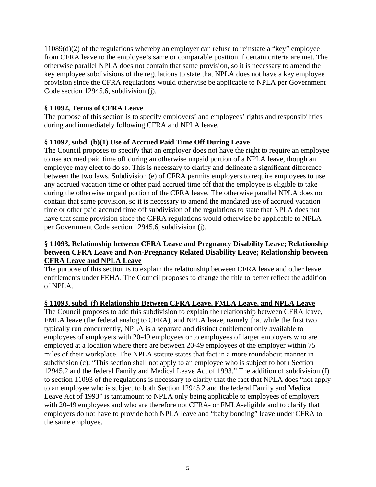11089(d)(2) of the regulations whereby an employer can refuse to reinstate a "key" employee from CFRA leave to the employee's same or comparable position if certain criteria are met. The otherwise parallel NPLA does not contain that same provision, so it is necessary to amend the key employee subdivisions of the regulations to state that NPLA does not have a key employee provision since the CFRA regulations would otherwise be applicable to NPLA per Government Code section 12945.6, subdivision (j).

#### **§ 11092, Terms of CFRA Leave**

The purpose of this section is to specify employers' and employees' rights and responsibilities during and immediately following CFRA and NPLA leave.

#### **§ 11092, subd. (b)(1) Use of Accrued Paid Time Off During Leave**

The Council proposes to specify that an employer does not have the right to require an employee to use accrued paid time off during an otherwise unpaid portion of a NPLA leave, though an employee may elect to do so. This is necessary to clarify and delineate a significant difference between the two laws. Subdivision (e) of CFRA permits employers to require employees to use any accrued vacation time or other paid accrued time off that the employee is eligible to take during the otherwise unpaid portion of the CFRA leave. The otherwise parallel NPLA does not contain that same provision, so it is necessary to amend the mandated use of accrued vacation time or other paid accrued time off subdivision of the regulations to state that NPLA does not have that same provision since the CFRA regulations would otherwise be applicable to NPLA per Government Code section 12945.6, subdivision (j).

#### **§ 11093, Relationship between CFRA Leave and Pregnancy Disability Leave; Relationship between CFRA Leave and Non-Pregnancy Related Disability Leave; Relationship between CFRA Leave and NPLA Leave**

The purpose of this section is to explain the relationship between CFRA leave and other leave entitlements under FEHA. The Council proposes to change the title to better reflect the addition of NPLA.

#### **§ 11093, subd. (f) Relationship Between CFRA Leave, FMLA Leave, and NPLA Leave**

The Council proposes to add this subdivision to explain the relationship between CFRA leave, FMLA leave (the federal analog to CFRA), and NPLA leave, namely that while the first two typically run concurrently, NPLA is a separate and distinct entitlement only available to employees of employers with 20-49 employees or to employees of larger employers who are employed at a location where there are between 20-49 employees of the employer within 75 miles of their workplace. The NPLA statute states that fact in a more roundabout manner in subdivision (c): "This section shall not apply to an employee who is subject to both Section 12945.2 and the federal Family and Medical Leave Act of 1993." The addition of subdivision (f) to section 11093 of the regulations is necessary to clarify that the fact that NPLA does "not apply to an employee who is subject to both Section 12945.2 and the federal Family and Medical Leave Act of 1993" is tantamount to NPLA only being applicable to employees of employers with 20-49 employees and who are therefore not CFRA- or FMLA-eligible and to clarify that employers do not have to provide both NPLA leave and "baby bonding" leave under CFRA to the same employee.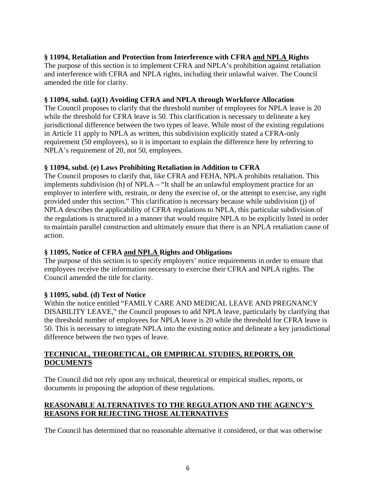## **§ 11094, Retaliation and Protection from Interference with CFRA and NPLA Rights**

The purpose of this section is to implement CFRA and NPLA's prohibition against retaliation and interference with CFRA and NPLA rights, including their unlawful waiver. The Council amended the title for clarity.

#### **§ 11094, subd. (a)(1) Avoiding CFRA and NPLA through Workforce Allocation**

The Council proposes to clarify that the threshold number of employees for NPLA leave is 20 while the threshold for CFRA leave is 50. This clarification is necessary to delineate a key jurisdictional difference between the two types of leave. While most of the existing regulations in Article 11 apply to NPLA as written, this subdivision explicitly stated a CFRA-only requirement (50 employees), so it is important to explain the difference here by referring to NPLA's requirement of 20, not 50, employees.

#### **§ 11094, subd. (e) Laws Prohibiting Retaliation in Addition to CFRA**

The Council proposes to clarify that, like CFRA and FEHA, NPLA prohibits retaliation. This implements subdivision (h) of NPLA – "It shall be an unlawful employment practice for an employer to interfere with, restrain, or deny the exercise of, or the attempt to exercise, any right provided under this section." This clarification is necessary because while subdivision (j) of NPLA describes the applicability of CFRA regulations to NPLA, this particular subdivision of the regulations is structured in a manner that would require NPLA to be explicitly listed in order to maintain parallel construction and ultimately ensure that there is an NPLA retaliation cause of action.

#### **§ 11095, Notice of CFRA and NPLA Rights and Obligations**

The purpose of this section is to specify employers' notice requirements in order to ensure that employees receive the information necessary to exercise their CFRA and NPLA rights. The Council amended the title for clarity.

#### **§ 11095, subd. (d) Text of Notice**

Within the notice entitled "FAMILY CARE AND MEDICAL LEAVE AND PREGNANCY DISABILITY LEAVE," the Council proposes to add NPLA leave, particularly by clarifying that the threshold number of employees for NPLA leave is 20 while the threshold for CFRA leave is 50. This is necessary to integrate NPLA into the existing notice and delineate a key jurisdictional difference between the two types of leave.

## **TECHNICAL, THEORETICAL, OR EMPIRICAL STUDIES, REPORTS, OR DOCUMENTS**

The Council did not rely upon any technical, theoretical or empirical studies, reports, or documents in proposing the adoption of these regulations.

#### **REASONABLE ALTERNATIVES TO THE REGULATION AND THE AGENCY'S REASONS FOR REJECTING THOSE ALTERNATIVES**

The Council has determined that no reasonable alternative it considered, or that was otherwise